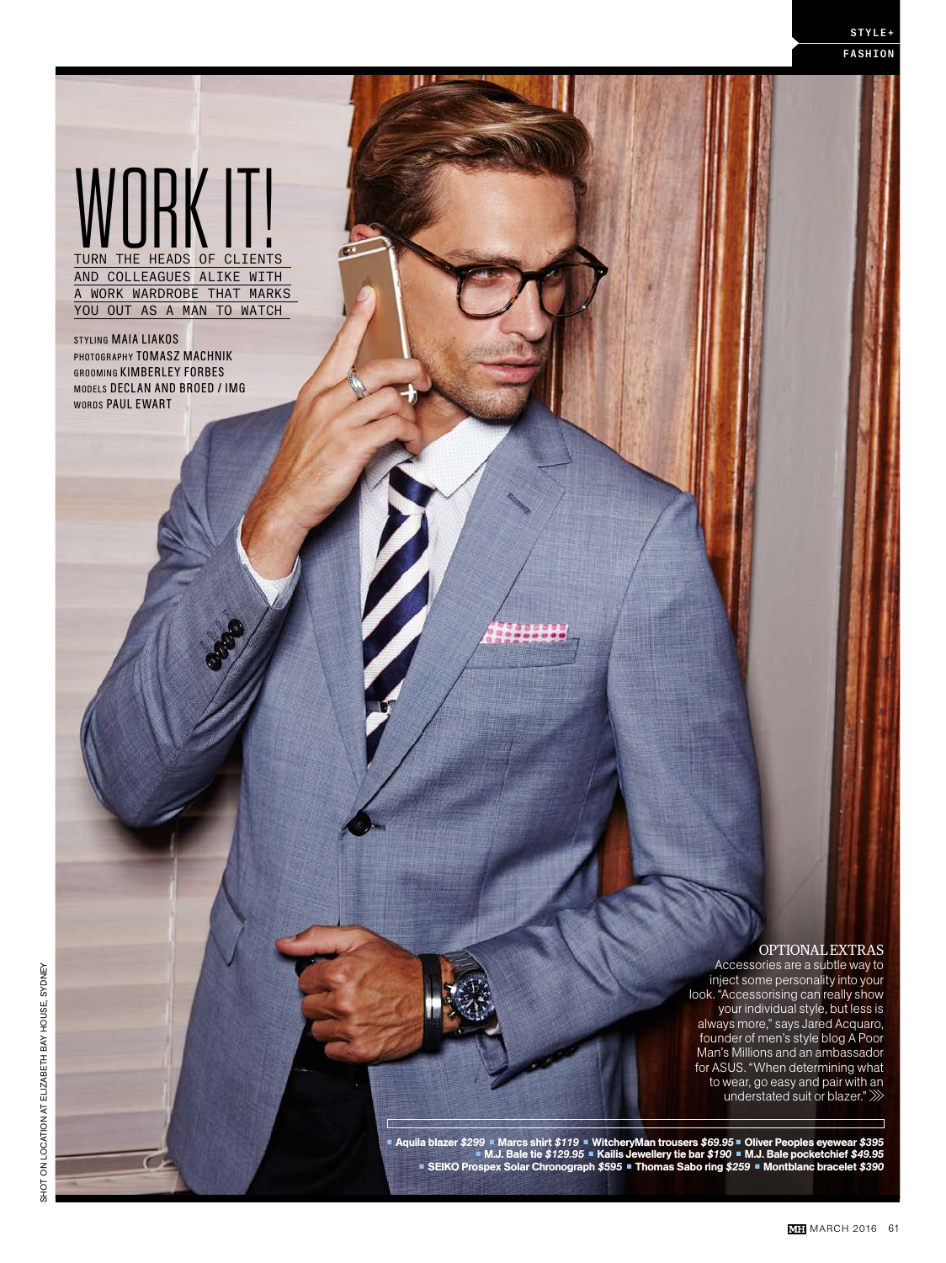# WORK IT TURN THE HEADS OF CLIENTS

AND COLLEAGUES ALIKE WITH A WORK WARDROBE THAT MARKS YOU OUT AS A MAN TO WATCH

STYLING MAIA LIAKOS PHOTOGRAPHY TOMASZ MACHNIK GROOMING KIMBERLEY FORBES MODELS DECLAN AND BROED / IMG WORDS PAUL EWART

...

#### OPTIONAL EXTRAS

Accessories are a subtle way to inject some personality into your look. "Accessorising can really show your individual style, but less is always more," says Jared Acquaro, founder of men's style blog A Poor Man's Millions and an ambassador for ASUS. "When determining what to wear, go easy and pair with an understated suit or blazer."

Aquila blazer \$299 ■ Marcs shirt \$119 ■ WitcheryMan trousers \$69.95 ■ Oliver Peoples eyewear \$395 ■<br>M.J. Bale tie \$129.95 ■ Kailis Jewellery tie bar \$190 ■ M.J. Bale pocketchief \$49.95 ■<br>SEIKO Prospex Solar Chronograph \$5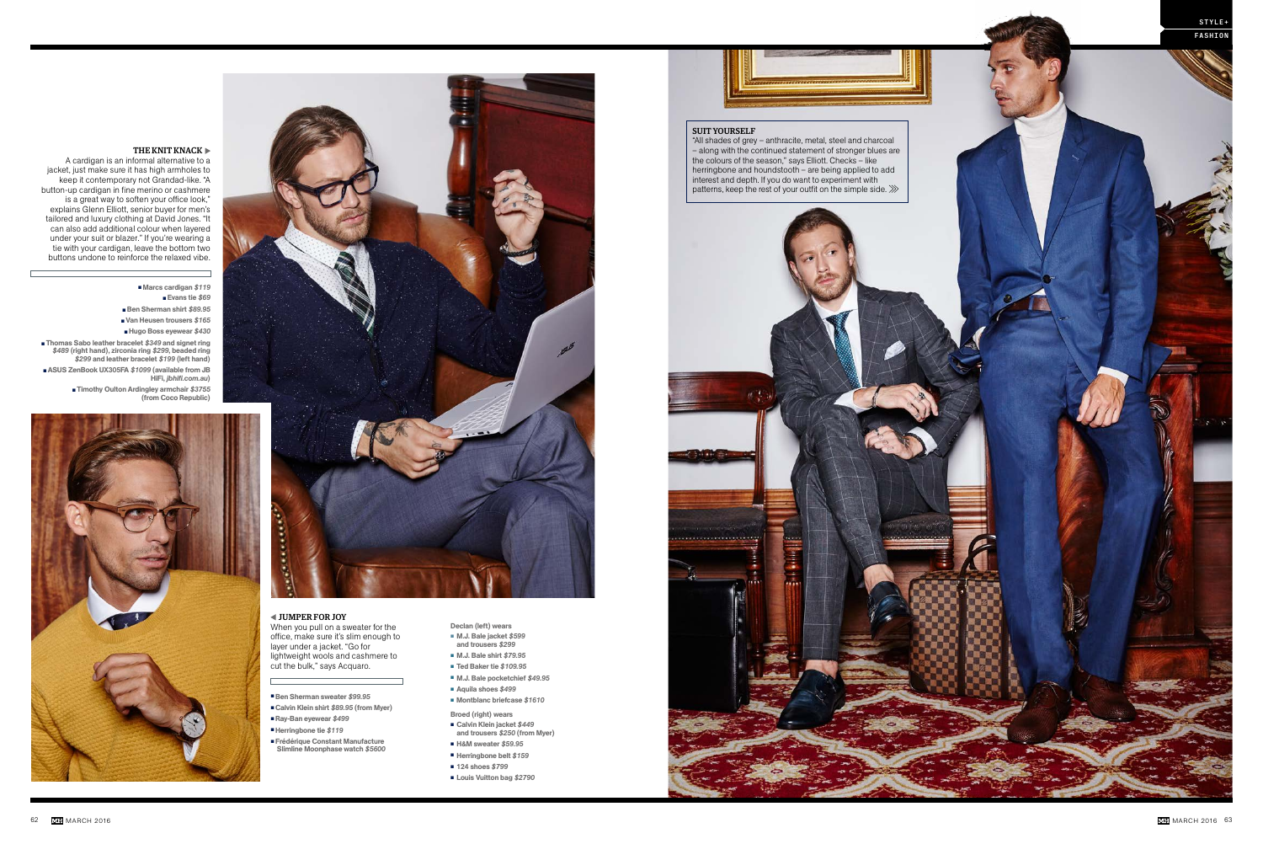

### THE KNIT KNACK  $\blacktriangleright$



A cardigan is an informal alternative to a jacket, just make sure it has high armholes to keep it contemporary not Grandad-like. "A button-up cardigan in fine merino or cashmere is a great way to soften your office look," explains Glenn Elliott, senior buyer for men's tailored and luxury clothing at David Jones. "It can also add additional colour when layered under your suit or blazer." If you're wearing a tie with your cardigan, leave the bottom two buttons undone to reinforce the relaxed vibe.

▪ Marcs cardigan *\$119* ▪ Evans tie *\$69* ▪ Ben Sherman shirt *\$89.95* ▪ Van Heusen trousers *\$165* ▪ Hugo Boss eyewear *\$430* ▪ Thomas Sabo leather bracelet *\$349* and signet ring *\$489* (right hand), zirconia ring *\$299*, beaded ring *\$299* and leather bracelet *\$199* (left hand) ■ ASUS ZenBook UX305FA \$1099 (available from JB HiFi, *jbhifi.com.au*)

- Declan (left) wears ▪ M.J. Bale jacket *\$599*
- and trousers *\$299* ▪ M.J. Bale shirt *\$79.95*
- Ted Baker tie *\$109.95*
- M.J. Bale pocketchief *\$49.95*
- Aquila shoes \$499
- Montblanc briefcase *\$1610*
- Broed (right) wears ▪ Calvin Klein jacket *\$449*
- and trousers *\$250* (from Myer) ▪ H&M sweater *\$59.95*
- Herringbone belt *\$159*
- 124 shoes \$799
- Louis Vuitton bag \$2790

▪ Timothy Oulton Ardingley armchair *\$3755*

(from Coco Republic)



#### $\blacktriangleleft$  JUMPER FOR JOY

#### SUIT YOURSELF

"All shades of grey – anthracite, metal, steel and charcoal – along with the continued statement of stronger blues are the colours of the season," says Elliott. Checks – like herringbone and houndstooth – are being applied to add interest and depth. If you do want to experiment with patterns, keep the rest of your outfit on the simple side.



When you pull on a sweater for the office, make sure it's slim enough to layer under a jacket. "Go for lightweight wools and cashmere to cut the bulk," says Acquaro.

- Ben Sherman sweater *\$99.95*
- Calvin Klein shirt *\$89.95* (from Myer) ▪ Ray-Ban eyewear *\$499*
- ▪Herringbone tie *\$119*
- 
- **Erédérique Constant Manufacture** Slimline Moonphase watch *\$5600*
	-
- 
-